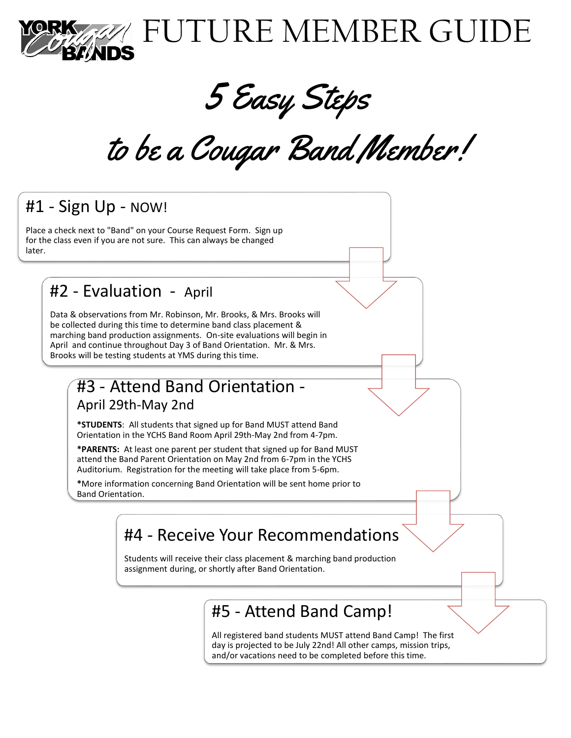

5 Easy Steps

to be a Cougar Band Member!

## #1 - Sign Up - NOW!

Place a check next to "Band" on your Course Request Form. Sign up for the class even if you are not sure. This can always be changed later.

#### #2 - Evaluation - April

Data & observations from Mr. Robinson, Mr. Brooks, & Mrs. Brooks will be collected during this time to determine band class placement & marching band production assignments. On-site evaluations will begin in April and continue throughout Day 3 of Band Orientation. Mr. & Mrs. Brooks will be testing students at YMS during this time.

#### #3 - Attend Band Orientation - April 29th-May 2nd

**\*STUDENTS**: All students that signed up for Band MUST attend Band Orientation in the YCHS Band Room April 29th-May 2nd from 4-7pm.

**\*PARENTS:** At least one parent per student that signed up for Band MUST attend the Band Parent Orientation on May 2nd from 6-7pm in the YCHS Auditorium. Registration for the meeting will take place from 5-6pm.

**\***More information concerning Band Orientation will be sent home prior to Band Orientation.

## #4 - Receive Your Recommendations

Students will receive their class placement & marching band production assignment during, or shortly after Band Orientation.

## #5 - Attend Band Camp!

All registered band students MUST attend Band Camp! The first day is projected to be July 22nd! All other camps, mission trips, and/or vacations need to be completed before this time.